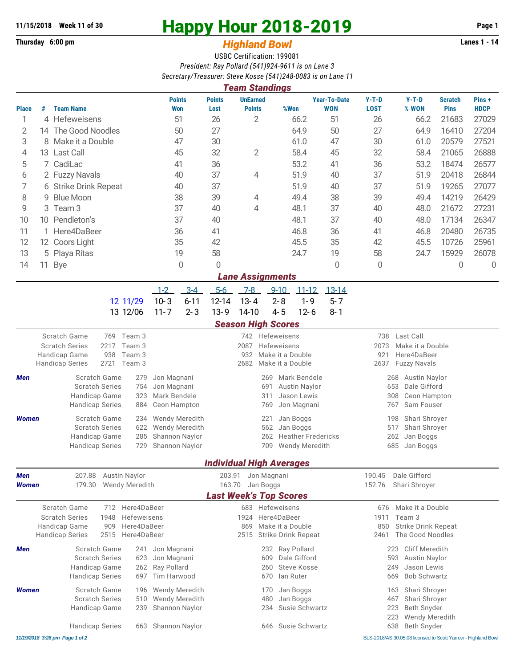**Thursday 6:00 pm** *Highland Bowl* 

## **11/15/2018** Week 11 of 30<br> **Happy Hour 2018-2019** Page 1<br> **Highland Rowl Lanes 1 - 14**<br>
Lanes 1 - 14

## USBC Certification: 199081 *President: Ray Pollard (541)924-9611 is on Lane 3*

*Secretary/Treasurer: Steve Kosse (541)248-0083 is on Lane 11*

|              |                        |                                                                                      |      |                                  |                              |                             |                                 | <b>Team Standings</b>                                |            |                                                |                                   |                                                               |                                                  |                               |                      |
|--------------|------------------------|--------------------------------------------------------------------------------------|------|----------------------------------|------------------------------|-----------------------------|---------------------------------|------------------------------------------------------|------------|------------------------------------------------|-----------------------------------|---------------------------------------------------------------|--------------------------------------------------|-------------------------------|----------------------|
| <b>Place</b> | #                      | Team Name                                                                            |      |                                  |                              | <b>Points</b><br><b>Won</b> | <b>Points</b><br>Lost           | <b>UnEarned</b><br><b>Points</b>                     |            | %Won                                           | <b>Year-To-Date</b><br><b>WON</b> | $Y-T-D$<br><b>LOST</b>                                        | $Y-T-D$<br>% WON                                 | <b>Scratch</b><br><b>Pins</b> | Pins+<br><b>HDCP</b> |
| 1            |                        | 4 Hefeweisens                                                                        |      | 51                               |                              | 26                          | 2                               |                                                      | 66.2       | 51                                             | 26                                | 66.2                                                          | 21683                                            | 27029                         |                      |
| 2            |                        | 14 The Good Noodles                                                                  |      |                                  | 50                           |                             | 27                              |                                                      |            | 64.9                                           | 50                                | 27                                                            | 64.9                                             | 16410                         | 27204                |
| 3            | 8                      | Make it a Double                                                                     |      |                                  | 47                           |                             | 30                              |                                                      |            | 61.0                                           | 47                                | 30                                                            | 61.0                                             | 20579                         | 27521                |
| 4            |                        | 13 Last Call                                                                         | 45   |                                  |                              | 32                          | $\overline{2}$                  |                                                      | 58.4       | 45                                             | 32                                | 58.4                                                          | 21065                                            | 26888                         |                      |
| 5            | 7                      | CadiLac                                                                              |      |                                  | 41                           | 36                          |                                 |                                                      | 53.2       | 41                                             | 36                                | 53.2                                                          | 18474                                            | 26577                         |                      |
| 6            |                        | 2 Fuzzy Navals                                                                       |      |                                  | 40                           |                             | 37                              | 4                                                    |            | 51.9                                           | 40                                | 37                                                            | 51.9                                             | 20418                         | 26844                |
| 7            | 6 Strike Drink Repeat  |                                                                                      |      | 40                               |                              | 37                          |                                 |                                                      | 51.9       | 40                                             | 37                                | 51.9                                                          | 19265                                            | 27077                         |                      |
| 8            | <b>Blue Moon</b><br>9  |                                                                                      |      | 38                               |                              | 39                          | 4                               |                                                      | 49.4       | 38                                             | 39                                | 49.4                                                          | 14219                                            | 26429                         |                      |
| 9            | Team <sub>3</sub><br>3 |                                                                                      |      | 37                               |                              | 40                          | 4                               |                                                      | 48.1       | 37                                             | 40                                | 48.0                                                          | 21672                                            | 27231                         |                      |
|              |                        |                                                                                      |      |                                  |                              |                             |                                 |                                                      |            |                                                |                                   |                                                               |                                                  |                               |                      |
| 10           | Pendleton's<br>10      |                                                                                      |      | 37                               |                              | 40                          |                                 |                                                      | 48.1       | 37                                             | 40                                | 48.0                                                          | 17134                                            | 26347                         |                      |
| 11           | 1 Here4DaBeer          |                                                                                      |      | 36                               |                              | 41                          |                                 |                                                      | 46.8       | 36                                             | 41                                | 46.8                                                          | 20480                                            | 26735                         |                      |
| 12           | 12 Coors Light         |                                                                                      |      | 35                               |                              | 42                          |                                 |                                                      | 45.5       | 35                                             | 42                                | 45.5                                                          | 10726                                            | 25961                         |                      |
| 13           | 5 Playa Ritas          |                                                                                      | 19   |                                  | 58                           |                             |                                 | 24.7                                                 | 19         | 58                                             | 24.7                              | 15929                                                         | 26078                                            |                               |                      |
| 14           |                        | 11 Bye                                                                               |      |                                  |                              | 0                           | $\mathbf{0}$                    |                                                      |            |                                                | $\mathbf{0}$                      | 0                                                             |                                                  | $\mathbf 0$                   | 0                    |
|              |                        |                                                                                      |      |                                  |                              |                             |                                 | <b>Lane Assignments</b>                              |            |                                                |                                   |                                                               |                                                  |                               |                      |
|              |                        |                                                                                      |      |                                  | $1 - 2$                      | $3-4$                       | $5-6$                           | $7-8$                                                | $9 - 10$   | $11 - 12$                                      | $13-14$                           |                                                               |                                                  |                               |                      |
|              |                        |                                                                                      |      | 12 11/29                         | $10 - 3$                     | $6 - 11$                    | 12-14                           | $13 - 4$                                             | $2 - 8$    | $1 - 9$                                        | $5 - 7$                           |                                                               |                                                  |                               |                      |
|              |                        |                                                                                      |      | 13 12/06                         | $11 - 7$                     | $2 - 3$                     | $13 - 9$                        | 14-10                                                | $4 - 5$    | $12 - 6$                                       | $8 - 1$                           |                                                               |                                                  |                               |                      |
|              |                        |                                                                                      |      |                                  |                              |                             |                                 | <b>Season High Scores</b>                            |            |                                                |                                   |                                                               |                                                  |                               |                      |
|              |                        | Scratch Game<br>769 Team 3                                                           |      |                                  |                              |                             | 742 Hefeweisens                 |                                                      |            |                                                |                                   | 738<br>Last Call                                              |                                                  |                               |                      |
|              |                        | 2217<br><b>Scratch Series</b><br>Team 3                                              |      |                                  |                              |                             |                                 | 2087<br>Hefeweisens                                  |            |                                                |                                   | 2073<br>Make it a Double                                      |                                                  |                               |                      |
|              |                        | 938<br>Handicap Game<br>Team 3                                                       |      |                                  |                              |                             |                                 | 932<br>Make it a Double<br>Make it a Double          |            |                                                |                                   | 921<br>Here4DaBeer                                            |                                                  |                               |                      |
|              |                        | <b>Handicap Series</b>                                                               | 2721 | Team 3                           |                              |                             |                                 | 2682                                                 |            |                                                |                                   | 2637                                                          | <b>Fuzzy Navals</b>                              |                               |                      |
| Men          |                        | <b>Scratch Game</b><br>279                                                           |      |                                  | Jon Magnani                  |                             |                                 | Mark Bendele<br>269                                  |            |                                                |                                   | 268<br>Austin Naylor                                          |                                                  |                               |                      |
|              |                        | <b>Scratch Series</b>                                                                |      | 754                              | Jon Magnani                  |                             |                                 |                                                      | 691        | Austin Naylor                                  |                                   |                                                               | 653<br>Dale Gifford                              |                               |                      |
|              |                        | Handicap Game                                                                        |      | 323<br>884                       | Mark Bendele<br>Ceon Hampton |                             |                                 |                                                      | 311        | Jason Lewis                                    |                                   |                                                               | 308<br>Ceon Hampton                              |                               |                      |
|              |                        | <b>Handicap Series</b>                                                               |      |                                  |                              |                             |                                 | Jon Magnani<br>769                                   |            |                                                |                                   | Sam Fouser<br>767                                             |                                                  |                               |                      |
| <b>Women</b> |                        | <b>Scratch Game</b><br>234                                                           |      |                                  |                              | Wendy Meredith              |                                 | 221<br>Jan Boggs                                     |            |                                                | Shari Shroyer<br>198              |                                                               |                                                  |                               |                      |
|              |                        | <b>Scratch Series</b><br>622<br>285<br>Handicap Game                                 |      |                                  |                              | Wendy Meredith              |                                 | 562<br>Jan Boggs<br>262<br><b>Heather Fredericks</b> |            |                                                |                                   | 517<br>Shari Shroyer<br>262<br>Jan Boggs                      |                                                  |                               |                      |
|              |                        | <b>Handicap Series</b><br>729                                                        |      | Shannon Naylor<br>Shannon Naylor |                              |                             | 709<br><b>Wendy Meredith</b>    |                                                      |            | 685<br>Jan Boggs                               |                                   |                                                               |                                                  |                               |                      |
|              |                        |                                                                                      |      |                                  |                              |                             |                                 |                                                      |            |                                                |                                   |                                                               |                                                  |                               |                      |
|              |                        |                                                                                      |      |                                  |                              |                             | <b>Individual High Averages</b> |                                                      |            |                                                |                                   |                                                               |                                                  |                               |                      |
| Men          |                        | 207.88<br>Austin Naylor                                                              |      |                                  |                              |                             |                                 | 203.91<br>Jon Magnani                                |            |                                                |                                   | 190.45<br>Dale Gifford                                        |                                                  |                               |                      |
| Women        |                        | 179.30<br><b>Wendy Meredith</b>                                                      |      |                                  |                              |                             |                                 | 163.70<br>Jan Boggs                                  |            |                                                |                                   | Shari Shroyer<br>152.76                                       |                                                  |                               |                      |
|              |                        |                                                                                      |      |                                  |                              |                             |                                 | <b>Last Week's Top Scores</b>                        |            |                                                |                                   |                                                               |                                                  |                               |                      |
|              |                        | Scratch Game<br>712<br>Here4DaBeer                                                   |      |                                  |                              |                             | 683 Hefeweisens                 |                                                      |            |                                                | Make it a Double<br>676           |                                                               |                                                  |                               |                      |
|              |                        | 1948<br>Hefeweisens<br><b>Scratch Series</b>                                         |      |                                  |                              |                             | Here4DaBeer<br>1924             |                                                      |            |                                                | Team 3<br>1911                    |                                                               |                                                  |                               |                      |
|              |                        | Handicap Game<br>909<br>Here4DaBeer<br>2515<br>Here4DaBeer<br><b>Handicap Series</b> |      |                                  |                              |                             | 869<br>2515                     |                                                      |            | Make it a Double<br><b>Strike Drink Repeat</b> |                                   | 850<br><b>Strike Drink Repeat</b><br>The Good Noodles<br>2461 |                                                  |                               |                      |
|              |                        |                                                                                      |      |                                  |                              |                             |                                 |                                                      |            |                                                |                                   |                                                               |                                                  |                               |                      |
| Men          |                        | Scratch Game                                                                         |      | 241                              | Jon Magnani                  |                             |                                 |                                                      |            | 232 Ray Pollard                                |                                   |                                                               | Cliff Meredith<br>223                            |                               |                      |
|              |                        | <b>Scratch Series</b>                                                                |      | 623                              | Jon Magnani                  |                             |                                 |                                                      | 609        | Dale Gifford                                   |                                   |                                                               | 593<br>Austin Naylor                             |                               |                      |
|              |                        | Handicap Game                                                                        |      | 262<br>697                       | Ray Pollard<br>Tim Harwood   |                             |                                 |                                                      | 260<br>670 | <b>Steve Kosse</b><br>lan Ruter                |                                   |                                                               | Jason Lewis<br>249<br><b>Bob Schwartz</b><br>669 |                               |                      |
|              |                        | <b>Handicap Series</b>                                                               |      |                                  |                              |                             |                                 |                                                      |            |                                                |                                   |                                                               |                                                  |                               |                      |
| <b>Women</b> |                        | Scratch Game                                                                         |      | 196                              |                              | <b>Wendy Meredith</b>       |                                 |                                                      | 170        | Jan Boggs                                      |                                   |                                                               | Shari Shroyer<br>163                             |                               |                      |
|              |                        | <b>Scratch Series</b><br>510                                                         |      | <b>Wendy Meredith</b>            |                              |                             | Jan Boggs<br>480                |                                                      |            | Shari Shroyer<br>467                           |                                   |                                                               |                                                  |                               |                      |
|              |                        | Handicap Game                                                                        |      | 239                              |                              | Shannon Naylor              |                                 |                                                      | 234        | Susie Schwartz                                 |                                   |                                                               | Beth Snyder<br>223                               |                               |                      |
|              |                        | <b>Handicap Series</b>                                                               |      | 663                              |                              | Shannon Naylor              |                                 |                                                      | 646        | Susie Schwartz                                 |                                   |                                                               | Wendy Meredith<br>223<br>638<br>Beth Snyder      |                               |                      |
|              |                        |                                                                                      |      |                                  |                              |                             |                                 |                                                      |            |                                                |                                   |                                                               |                                                  |                               |                      |

*11/19/2018 3:28 pm Page 1 of 2* BLS-2018/AS 30.05.08 licensed to Scott Yarrow - Highland Bowl